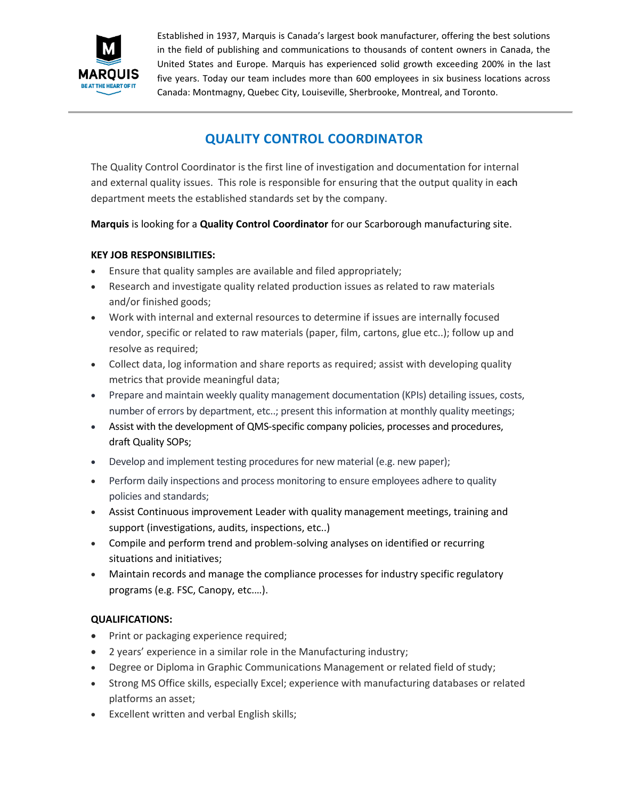

Established in 1937, Marquis is Canada's largest book manufacturer, offering the best solutions in the field of publishing and communications to thousands of content owners in Canada, the United States and Europe. Marquis has experienced solid growth exceeding 200% in the last five years. Today our team includes more than 600 employees in six business locations across Canada: Montmagny, Quebec City, Louiseville, Sherbrooke, Montreal, and Toronto.

# **QUALITY CONTROL COORDINATOR**

The Quality Control Coordinator is the first line of investigation and documentation for internal and external quality issues. This role is responsible for ensuring that the output quality in each department meets the established standards set by the company.

**Marquis** is looking for a **Quality Control Coordinator** for our Scarborough manufacturing site.

### **KEY JOB RESPONSIBILITIES:**

- Ensure that quality samples are available and filed appropriately;
- Research and investigate quality related production issues as related to raw materials and/or finished goods;
- Work with internal and external resources to determine if issues are internally focused vendor, specific or related to raw materials (paper, film, cartons, glue etc..); follow up and resolve as required;
- Collect data, log information and share reports as required; assist with developing quality metrics that provide meaningful data;
- Prepare and maintain weekly quality management documentation (KPIs) detailing issues, costs, number of errors by department, etc..; present this information at monthly quality meetings;
- Assist with the development of QMS-specific company policies, processes and procedures, draft Quality SOPs;
- Develop and implement testing procedures for new material (e.g. new paper);
- Perform daily inspections and process monitoring to ensure employees adhere to quality policies and standards;
- Assist Continuous improvement Leader with quality management meetings, training and support (investigations, audits, inspections, etc..)
- Compile and perform trend and problem-solving analyses on identified or recurring situations and initiatives;
- Maintain records and manage the compliance processes for industry specific regulatory programs (e.g. FSC, Canopy, etc.…).

## **QUALIFICATIONS:**

- Print or packaging experience required;
- 2 years' experience in a similar role in the Manufacturing industry;
- Degree or Diploma in Graphic Communications Management or related field of study;
- Strong MS Office skills, especially Excel; experience with manufacturing databases or related platforms an asset;
- Excellent written and verbal English skills;